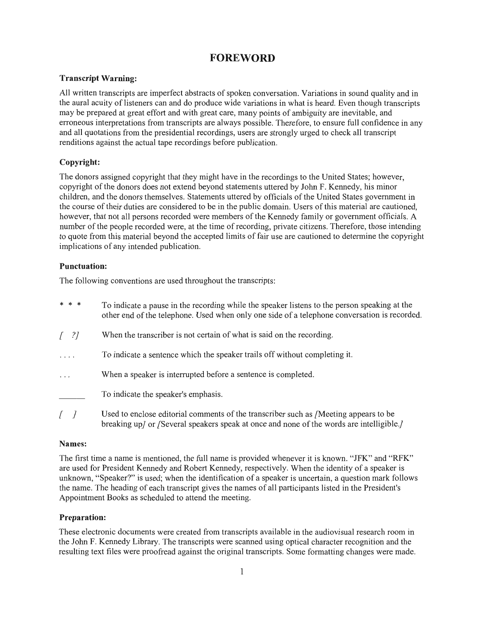## **FOREWORD**

#### **Transcript Warning:**

All written transcripts are imperfect abstracts of spoken conversation. Variations in sound quality and in the aural acuity of listeners can and do produce wide variations in what is heard. Even though transcripts may be prepared at great effort and with great care, many points of ambiguity are inevitable, and erroneous interpretations from transcripts are always possible. Therefore, to ensure full confidence in any and all quotations from the presidential recordings, users are strongly urged to check all transcript renditions against the actual tape recordings before publication.

### Copyright:

The donors assigned copyright that they might have in the recordings to the United States; however, copyright of the donors does not extend beyond statements uttered by John F. Kennedy, his minor children, and the donors themselves. Statements uttered by officials of the United States government in the course of their duties are considered to be in the public domain. Users of this material are cautioned. however, that not all persons recorded were members of the Kennedy family or government officials. A number of the people recorded were, at the time of recording, private citizens. Therefore, those intending to quote from this material beyond the accepted limits of fair use are cautioned to determine the copyright implications of any intended publication.

#### **Punctuation:**

The following conventions are used throughout the transcripts:

| * * *                             | To indicate a pause in the recording while the speaker listens to the person speaking at the<br>other end of the telephone. Used when only one side of a telephone conversation is recorded. |
|-----------------------------------|----------------------------------------------------------------------------------------------------------------------------------------------------------------------------------------------|
| $\begin{bmatrix} 2 \end{bmatrix}$ | When the transcriber is not certain of what is said on the recording.                                                                                                                        |
| .                                 | To indicate a sentence which the speaker trails off without completing it.                                                                                                                   |
| $\cdots$                          | When a speaker is interrupted before a sentence is completed.                                                                                                                                |
|                                   | To indicate the speaker's emphasis.                                                                                                                                                          |
|                                   | Used to enclose editorial comments of the transcriber such as /Meeting appears to be                                                                                                         |

breaking up/ or /Several speakers speak at once and none of the words are intelligible.

#### Names:

The first time a name is mentioned, the full name is provided whenever it is known. "JFK" and "RFK" are used for President Kennedy and Robert Kennedy, respectively. When the identity of a speaker is unknown, "Speaker?" is used; when the identification of a speaker is uncertain, a question mark follows the name. The heading of each transcript gives the names of all participants listed in the President's Appointment Books as scheduled to attend the meeting.

#### **Preparation:**

These electronic documents were created from transcripts available in the audiovisual research room in the John F. Kennedy Library. The transcripts were scanned using optical character recognition and the resulting text files were proofread against the original transcripts. Some formatting changes were made.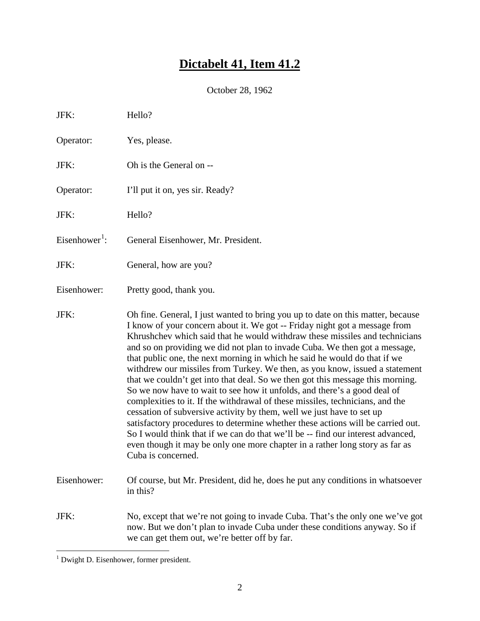# **Dictabelt 41, Item 41.2**

October 28, 1962

| JFK:                      | Hello?                                                                                                                                                                                                                                                                                                                                                                                                                                                                                                                                                                                                                                                                                                                                                                                                                                                                                                                                                                                                                                                                                     |
|---------------------------|--------------------------------------------------------------------------------------------------------------------------------------------------------------------------------------------------------------------------------------------------------------------------------------------------------------------------------------------------------------------------------------------------------------------------------------------------------------------------------------------------------------------------------------------------------------------------------------------------------------------------------------------------------------------------------------------------------------------------------------------------------------------------------------------------------------------------------------------------------------------------------------------------------------------------------------------------------------------------------------------------------------------------------------------------------------------------------------------|
| Operator:                 | Yes, please.                                                                                                                                                                                                                                                                                                                                                                                                                                                                                                                                                                                                                                                                                                                                                                                                                                                                                                                                                                                                                                                                               |
| JFK:                      | Oh is the General on --                                                                                                                                                                                                                                                                                                                                                                                                                                                                                                                                                                                                                                                                                                                                                                                                                                                                                                                                                                                                                                                                    |
| Operator:                 | I'll put it on, yes sir. Ready?                                                                                                                                                                                                                                                                                                                                                                                                                                                                                                                                                                                                                                                                                                                                                                                                                                                                                                                                                                                                                                                            |
| JFK:                      | Hello?                                                                                                                                                                                                                                                                                                                                                                                                                                                                                                                                                                                                                                                                                                                                                                                                                                                                                                                                                                                                                                                                                     |
| Eisenhower <sup>1</sup> : | General Eisenhower, Mr. President.                                                                                                                                                                                                                                                                                                                                                                                                                                                                                                                                                                                                                                                                                                                                                                                                                                                                                                                                                                                                                                                         |
| JFK:                      | General, how are you?                                                                                                                                                                                                                                                                                                                                                                                                                                                                                                                                                                                                                                                                                                                                                                                                                                                                                                                                                                                                                                                                      |
| Eisenhower:               | Pretty good, thank you.                                                                                                                                                                                                                                                                                                                                                                                                                                                                                                                                                                                                                                                                                                                                                                                                                                                                                                                                                                                                                                                                    |
| JFK:                      | Oh fine. General, I just wanted to bring you up to date on this matter, because<br>I know of your concern about it. We got -- Friday night got a message from<br>Khrushchev which said that he would withdraw these missiles and technicians<br>and so on providing we did not plan to invade Cuba. We then got a message,<br>that public one, the next morning in which he said he would do that if we<br>withdrew our missiles from Turkey. We then, as you know, issued a statement<br>that we couldn't get into that deal. So we then got this message this morning.<br>So we now have to wait to see how it unfolds, and there's a good deal of<br>complexities to it. If the withdrawal of these missiles, technicians, and the<br>cessation of subversive activity by them, well we just have to set up<br>satisfactory procedures to determine whether these actions will be carried out.<br>So I would think that if we can do that we'll be -- find our interest advanced,<br>even though it may be only one more chapter in a rather long story as far as<br>Cuba is concerned. |
| Eisenhower:               | Of course, but Mr. President, did he, does he put any conditions in whatsoever<br>in this?                                                                                                                                                                                                                                                                                                                                                                                                                                                                                                                                                                                                                                                                                                                                                                                                                                                                                                                                                                                                 |
| JFK:                      | No, except that we're not going to invade Cuba. That's the only one we've got<br>now. But we don't plan to invade Cuba under these conditions anyway. So if<br>we can get them out, we're better off by far.                                                                                                                                                                                                                                                                                                                                                                                                                                                                                                                                                                                                                                                                                                                                                                                                                                                                               |

<span id="page-1-0"></span> <sup>1</sup> Dwight D. Eisenhower, former president.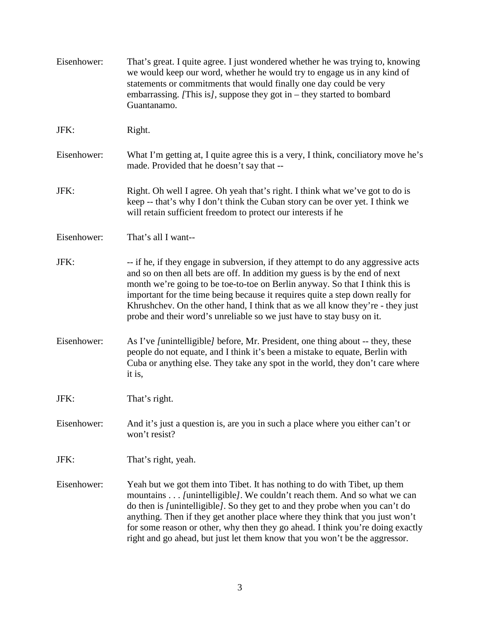| Eisenhower: | That's great. I quite agree. I just wondered whether he was trying to, knowing<br>we would keep our word, whether he would try to engage us in any kind of<br>statements or commitments that would finally one day could be very<br>embarrassing. [This is], suppose they got in – they started to bombard<br>Guantanamo.                                                                                                                                                                    |
|-------------|----------------------------------------------------------------------------------------------------------------------------------------------------------------------------------------------------------------------------------------------------------------------------------------------------------------------------------------------------------------------------------------------------------------------------------------------------------------------------------------------|
| JFK:        | Right.                                                                                                                                                                                                                                                                                                                                                                                                                                                                                       |
| Eisenhower: | What I'm getting at, I quite agree this is a very, I think, conciliatory move he's<br>made. Provided that he doesn't say that --                                                                                                                                                                                                                                                                                                                                                             |
| JFK:        | Right. Oh well I agree. Oh yeah that's right. I think what we've got to do is<br>keep -- that's why I don't think the Cuban story can be over yet. I think we<br>will retain sufficient freedom to protect our interests if he                                                                                                                                                                                                                                                               |
| Eisenhower: | That's all I want--                                                                                                                                                                                                                                                                                                                                                                                                                                                                          |
| JFK:        | -- if he, if they engage in subversion, if they attempt to do any aggressive acts<br>and so on then all bets are off. In addition my guess is by the end of next<br>month we're going to be toe-to-toe on Berlin anyway. So that I think this is<br>important for the time being because it requires quite a step down really for<br>Khrushchev. On the other hand, I think that as we all know they're - they just<br>probe and their word's unreliable so we just have to stay busy on it. |
| Eisenhower: | As I've [unintelligible] before, Mr. President, one thing about -- they, these<br>people do not equate, and I think it's been a mistake to equate, Berlin with<br>Cuba or anything else. They take any spot in the world, they don't care where<br>it is,                                                                                                                                                                                                                                    |
| JFK:        | That's right.                                                                                                                                                                                                                                                                                                                                                                                                                                                                                |
| Eisenhower: | And it's just a question is, are you in such a place where you either can't or<br>won't resist?                                                                                                                                                                                                                                                                                                                                                                                              |
| JFK:        | That's right, yeah.                                                                                                                                                                                                                                                                                                                                                                                                                                                                          |
| Eisenhower: | Yeah but we got them into Tibet. It has nothing to do with Tibet, up them<br>mountains [unintelligible]. We couldn't reach them. And so what we can<br>do then is /unintelligible/. So they get to and they probe when you can't do<br>anything. Then if they get another place where they think that you just won't<br>for some reason or other, why then they go ahead. I think you're doing exactly<br>right and go ahead, but just let them know that you won't be the aggressor.        |